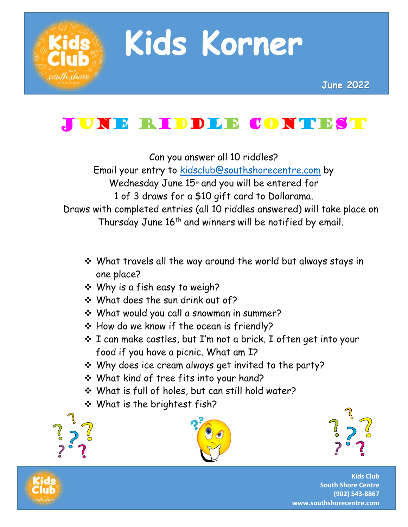

# Kids Korner

## June Riddle Contest

Can you answer all 10 riddles?

Email your entry to [kidsclub@southshorecentre.com](mailto:kidsclub@southshorecentre.com) by Wednesday June 15<sup>th</sup> and you will be entered for 1 of 3 draws for a \$10 gift card to Dollarama. Draws with completed entries (all 10 riddles answered) will take place on Thursday June 16<sup>th</sup> and winners will be notified by email.

- ❖ What travels all the way around the world but always stays in one place?
- ❖ Why is a fish easy to weigh?
- ❖ What does the sun drink out of?
- ❖ What would you call a snowman in summer?
- ❖ How do we know if the ocean is friendly?
- ❖ I can make castles, but I'm not a brick. I often get into your food if you have a picnic. What am I?
- ❖ Why does ice cream always get invited to the party?
- ❖ What kind of tree fits into your hand?
- ❖ What is full of holes, but can still hold water?
- ❖ What is the brightest fish?







**Kids Club South Shore Centre (902) 543-8867 www.southshorecentre.com**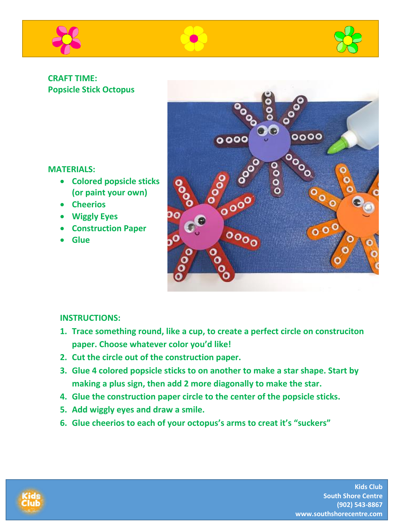





#### **CRAFT TIME: Popsicle Stick Octopus**

#### **MATERIALS:**

- **Colored popsicle sticks (or paint your own)**
- **Cheerios**
- **Wiggly Eyes**
- **Construction Paper**
- **Glue**



#### **INSTRUCTIONS:**

- **1. Trace something round, like a cup, to create a perfect circle on construciton paper. Choose whatever color you'd like!**
- **2. Cut the circle out of the construction paper.**
- **3. Glue 4 colored popsicle sticks to on another to make a star shape. Start by making a plus sign, then add 2 more diagonally to make the star.**
- **4. Glue the construction paper circle to the center of the popsicle sticks.**
- **5. Add wiggly eyes and draw a smile.**
- **6. Glue cheerios to each of your octopus's arms to creat it's "suckers"**



**Kids Club South Shore Centre (902) 543-8867 www.southshorecentre.com**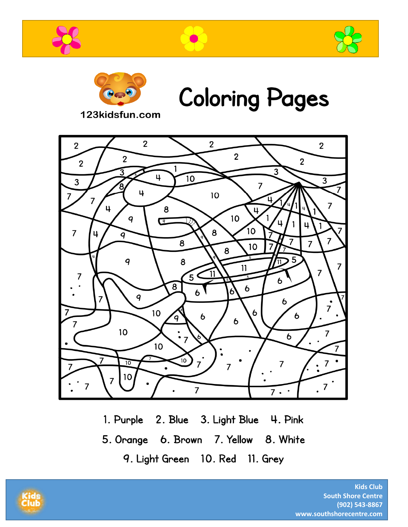







**Coloring Pages** 

123kidsfun.com



1. Purple 2. Blue 3. Light Blue 4. Pink 5. Orange 6. Brown 7. Yellow 8. White 9. Light Green 10. Red 11. Grey